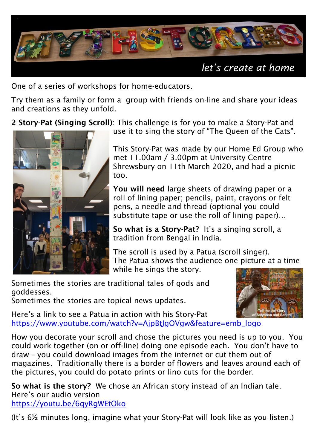

One of a series of workshops for home-educators.

Try them as a family or form a group with friends on-line and share your ideas and creations as they unfold.

2 Story-Pat (Singing Scroll): This challenge is for you to make a Story-Pat and



use it to sing the story of "The Queen of the Cats".

This Story-Pat was made by our Home Ed Group who met 11.00am / 3.00pm at University Centre Shrewsbury on 11th March 2020, and had a picnic too.

You will need large sheets of drawing paper or a roll of lining paper; pencils, paint, crayons or felt pens, a needle and thread (optional you could substitute tape or use the roll of lining paper)…

So what is a Story-Pat? It's a singing scroll, a tradition from Bengal in India.

The scroll is used by a Patua (scroll singer). The Patua shows the audience one picture at a time while he sings the story.

Sometimes the stories are traditional tales of gods and goddesses.

Sometimes the stories are topical news updates.



Here's a link to see a Patua in action with his Story-Pat [https://www.youtube.com/watch?v=AjpBtJgOVgw&feature=emb\\_logo](https://www.youtube.com/watch?v=AjpBtJgOVgw&feature=emb_logo)

How you decorate your scroll and chose the pictures you need is up to you. You could work together (on or off-line) doing one episode each. You don't have to draw – you could download images from the internet or cut them out of magazines. Traditionally there is a border of flowers and leaves around each of the pictures, you could do potato prints or lino cuts for the border.

So what is the story? We chose an African story instead of an Indian tale. Here's our audio version <https://youtu.be/6qyRgWEtOko>

(It's 6½ minutes long, imagine what your Story-Pat will look like as you listen.)